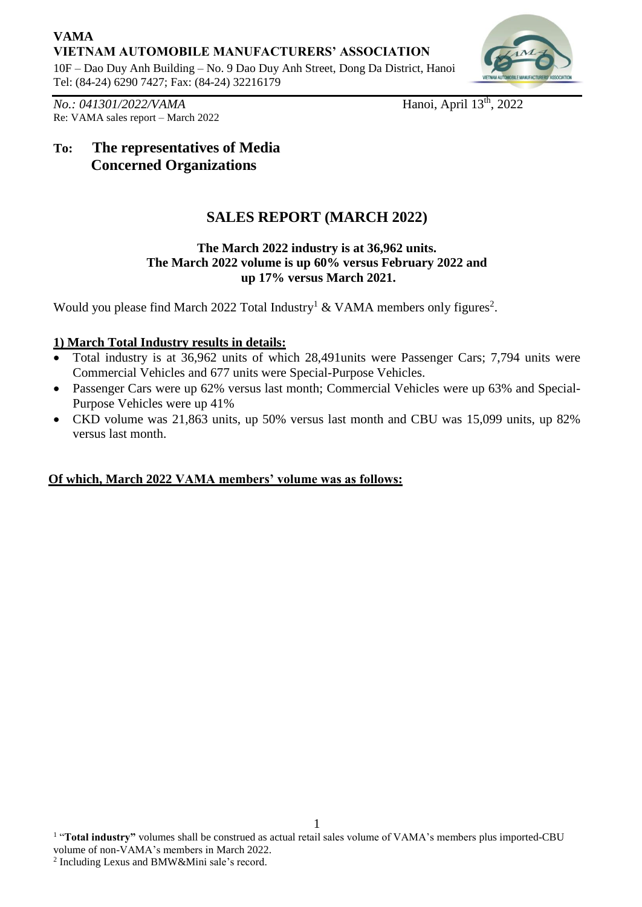## **VAMA VIETNAM AUTOMOBILE MANUFACTURERS' ASSOCIATION**

10F – Dao Duy Anh Building – No. 9 Dao Duy Anh Street, Dong Da District, Hanoi Tel: (84-24) 6290 7427; Fax: (84-24) 32216179



*No.: 041301/2022/VAMA* Re: VAMA sales report – March 2022 Hanoi, April 13<sup>th</sup>, 2022

## **To: The representatives of Media Concerned Organizations**

# **SALES REPORT (MARCH 2022)**

#### **The March 2022 industry is at 36,962 units. The March 2022 volume is up 60% versus February 2022 and up 17% versus March 2021.**

Would you please find March 2022 Total Industry<sup>1</sup> & VAMA members only figures<sup>2</sup>.

## **1) March Total Industry results in details:**

- Total industry is at 36,962 units of which 28,491units were Passenger Cars; 7,794 units were Commercial Vehicles and 677 units were Special-Purpose Vehicles.
- Passenger Cars were up 62% versus last month; Commercial Vehicles were up 63% and Special-Purpose Vehicles were up 41%
- CKD volume was 21,863 units, up 50% versus last month and CBU was 15,099 units, up 82% versus last month.

## **Of which, March 2022 VAMA members' volume was as follows:**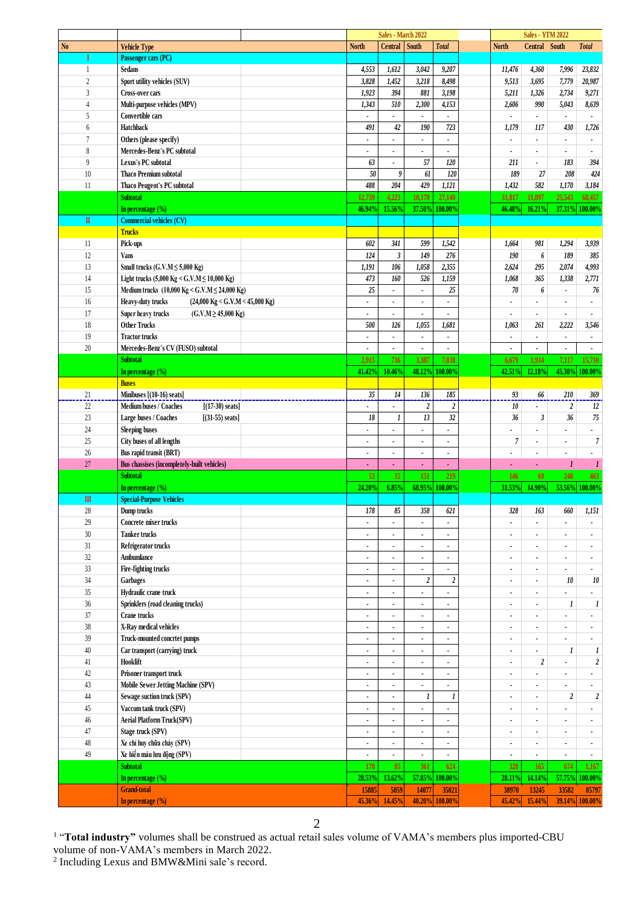|                |                                                                |                          | Sales - March 2022       |                          |                          |                          | <b>Sales - YTM 2022</b>  |                          |                          |
|----------------|----------------------------------------------------------------|--------------------------|--------------------------|--------------------------|--------------------------|--------------------------|--------------------------|--------------------------|--------------------------|
| N <sub>0</sub> | <b>Vehicle Type</b>                                            | <b>North</b>             | Central South            |                          | <b>Total</b>             | <b>North</b>             | Central South            |                          | <b>Total</b>             |
| I              | Passenger cars (PC)                                            |                          |                          |                          |                          |                          |                          |                          |                          |
| 1              | <b>Sedans</b>                                                  | 4,553                    | 1,612                    | 3,042                    | 9,207                    | 11,476                   | 4,360                    | 7,996                    | 23,832                   |
| $\overline{c}$ | Sport utility vehicles (SUV)                                   | 3,828                    | 1,452                    | 3,218                    | 8,498                    | 9,513                    | 3,695                    | 7,779                    | 20,987                   |
| $\overline{3}$ | <b>Cross-over cars</b>                                         | 1,923                    | 394                      | 881                      | 3,198                    | 5,211                    | 1,326                    | 2,734                    | 9,271                    |
|                |                                                                |                          |                          |                          |                          |                          |                          |                          |                          |
| $\overline{4}$ | Multi-purpose vehicles (MPV)                                   | 1,343                    | 510                      | 2,300                    | 4,153                    | 2,606                    | 990                      | 5,043                    | 8,639                    |
| 5              | Convertible cars                                               |                          |                          |                          |                          |                          | $\blacksquare$           | $\blacksquare$           |                          |
| 6              | Hatchback                                                      | 491                      | 42                       | 190                      | 723                      | 1,179                    | 117                      | 430                      | 1,726                    |
| $\overline{7}$ | Others (please specify)                                        | $\blacksquare$           |                          |                          | $\blacksquare$           |                          | ä,                       | $\blacksquare$           |                          |
| 8              | Mercedes-Benz's PC subtotal                                    |                          | $\ddot{\phantom{0}}$     |                          | ä,                       |                          |                          |                          |                          |
| 9              | Lexus's PC subtotal                                            | 63                       |                          | 57                       | 120                      | 211                      | $\blacksquare$           | 183                      | 394                      |
|                |                                                                |                          |                          |                          |                          |                          |                          |                          |                          |
| 10             | <b>Thaco Premium subtotal</b>                                  | 50                       | 9                        | 61                       | 120                      | 189                      | 27                       | 208                      | 424                      |
| 11             | Thaco Peugeot's PC subtotal                                    | 488                      | 204                      | 429                      | 1,121                    | 1,432                    | 582                      | 1,170                    | 3,184                    |
|                | <b>Subtotal</b>                                                | 12,739                   | 4,223                    | 10,178                   | 27,140                   | 31,817                   | 11,097                   | 25,543                   | 68,457                   |
|                | In percentage $(\% )$                                          | 46.94%                   | 15.56%                   | 37.50%                   | 100.00%                  | 46.48%                   | 16.21%                   |                          | 37.31% 100.00%           |
| $\mathbf{I}$   | <b>Commercial vehicles (CV)</b>                                |                          |                          |                          |                          |                          |                          |                          |                          |
|                | <b>Trucks</b>                                                  |                          |                          |                          |                          |                          |                          |                          |                          |
|                |                                                                |                          | 341                      |                          |                          |                          |                          |                          |                          |
| 11             | Pick-ups                                                       | 602                      |                          | 599                      | 1,542                    | 1,664                    | 981                      | 1,294                    | 3,939                    |
| 12             | <b>Vans</b>                                                    | 124                      | $\mathfrak{z}$           | 149                      | 276                      | 190                      | 6                        | 189                      | 385                      |
| 13             | Small trucks $(G.V.M \le 5,000$ Kg)                            | 1,191                    | 106                      | 1,058                    | 2,355                    | 2,624                    | 295                      | 2,074                    | 4,993                    |
| 14             | Light trucks (5,000 Kg < G.V.M ≤ 10,000 Kg)                    | 473                      | 160                      | 526                      | 1,159                    | 1,068                    | 365                      | 1,338                    | 2,771                    |
| 15             | Medium trucks (10,000 Kg < G.V.M $\leq$ 24,000 Kg)             | 25                       | $\ddot{\phantom{0}}$     | $\overline{\phantom{a}}$ | 25                       | 70                       | 6                        | $\blacksquare$           | 76                       |
| 16             | $(24,000 \text{ kg} <$ G.V.M < 45,000 Kg)<br>Heavy-duty trucks | $\blacksquare$           | $\bullet$                | $\bullet$                | ٠                        | $\bullet$                | $\blacksquare$           | $\bullet$                |                          |
|                |                                                                |                          |                          |                          |                          |                          |                          |                          |                          |
| 17             | $(C.V.M \ge 45,000 Kg)$<br>Super heavy trucks                  |                          |                          |                          |                          |                          |                          |                          |                          |
| 18             | <b>Other Trucks</b>                                            | 500                      | 126                      | 1,055                    | 1,681                    | 1,063                    | 261                      | 2,222                    | 3,546                    |
| 19             | <b>Tractor trucks</b>                                          | $\blacksquare$           | $\bullet$                | $\blacksquare$           | $\blacksquare$           | $\blacksquare$           | $\blacksquare$           | $\bullet$                | $\bullet$                |
| $20\,$         | Mercedes-Benz's CV (FUSO) subtotal                             |                          |                          |                          |                          |                          |                          |                          |                          |
|                | <b>Subtotal</b>                                                | 2,915                    | 736                      | 3.387                    | 7,038                    | 6,679                    | 1.914                    | 7,117                    | 15,710                   |
|                | In percentage (%)                                              | 41.42%                   | 10.46%                   | 48.12%                   | 100.00%                  | 42.51%                   | 12.18%                   |                          | 45.30% 100.00%           |
|                |                                                                |                          |                          |                          |                          |                          |                          |                          |                          |
|                | <b>Buses</b>                                                   |                          |                          |                          |                          |                          |                          |                          |                          |
| 21             | Minibuses $[(10-16)$ seats]                                    | $35\,$                   | $14$                     | 136                      | $185\,$                  | 93                       | 66                       | 210                      | 369                      |
| 22             | Medium buses / Coaches<br>$[(17-30) \text{ seats}]$            |                          |                          | $\boldsymbol{2}$         | $\boldsymbol{2}$         | 10                       |                          | $\boldsymbol{2}$         | 12                       |
| 23             | Large buses / Coaches<br>$[(31-55) \text{ seats}]$             | 18                       | 1                        | 13                       | 32                       | 36                       | $\mathfrak{z}$           | 36                       | 75                       |
| 24             | <b>Sleeping buses</b>                                          |                          |                          |                          | $\blacksquare$           |                          |                          |                          |                          |
| 25             | City buses of all lengths                                      | $\blacksquare$           | $\ddot{\phantom{0}}$     | $\overline{\phantom{a}}$ | ٠                        | $\overline{7}$           | $\blacksquare$           | $\blacksquare$           | 7                        |
|                |                                                                |                          |                          |                          |                          |                          |                          |                          |                          |
| $26\,$         | Bus rapid transit (BRT)                                        | $\blacksquare$           | $\ddot{\phantom{0}}$     | $\blacksquare$           | $\blacksquare$           |                          | $\overline{\phantom{a}}$ | $\bullet$                |                          |
| 27             | Bus chassises (incompletely-built vehicles)                    |                          |                          |                          |                          |                          | $\mathbf{r}$             | $\boldsymbol{l}$         | 1                        |
|                | <b>Subtotal</b>                                                | 53                       | 15 <sup>2</sup>          | 151                      | 219                      | 146                      | 69                       | 248                      | 463                      |
|                | In percentage $(\% )$                                          | 24.20%                   | 6.85%                    |                          | 68.95% 100.00%           | 31.53%                   | 14.90%                   |                          | 53.56% 100.00%           |
| $\mathbf{m}$   | <b>Special-Purpose Vehicles</b>                                |                          |                          |                          |                          |                          |                          |                          |                          |
| 28             | Dump trucks                                                    | 178                      | 85                       | 358                      | 621                      | $328\,$                  | 163                      | 660                      | 1,151                    |
|                |                                                                |                          |                          |                          |                          |                          |                          |                          |                          |
| $29\,$         | Concrete mixer trucks                                          | $\blacksquare$           | $\blacksquare$           | ä,                       | ä,                       | ×,                       | $\overline{a}$           | $\overline{\phantom{a}}$ | $\blacksquare$           |
| $30\,$         | <b>Tanker trucks</b>                                           | $\blacksquare$           | $\bullet$                | $\bullet$                | $\blacksquare$           | $\bullet$                | $\blacksquare$           | $\bullet$                |                          |
| 31             | Refrigerator trucks                                            | $\blacksquare$           | $\overline{\phantom{a}}$ | $\blacksquare$           | $\blacksquare$           | ٠                        | $\blacksquare$           | $\bullet$                | $\blacksquare$           |
| $32\,$         | Ambumlance                                                     | $\bullet$                | $\bullet$                | ٠                        | $\blacksquare$           | ٠                        | $\blacksquare$           | $\blacksquare$           | $\blacksquare$           |
| 33             | Fire-fighting trucks                                           | $\blacksquare$           |                          | $\blacksquare$           | $\blacksquare$           | $\blacksquare$           | $\blacksquare$           | $\bullet$                | $\blacksquare$           |
| $34\,$         | Garbages                                                       | $\overline{\phantom{a}}$ | $\overline{\phantom{a}}$ | $\boldsymbol{2}$         | $\boldsymbol{2}$         | ÷,                       | $\blacksquare$           | $10\,$                   | 10                       |
|                |                                                                |                          |                          |                          |                          |                          |                          |                          |                          |
| $35\,$         | Hydraulic crane truck                                          | $\blacksquare$           | $\bullet$                | ٠                        | $\blacksquare$           | ٠                        | $\blacksquare$           |                          |                          |
| $36\,$         | Sprinklers (road cleaning trucks)                              | $\blacksquare$           |                          | $\overline{\phantom{a}}$ | $\blacksquare$           | ÷.                       | $\blacksquare$           | $\boldsymbol{l}$         | $\boldsymbol{l}$         |
| $37\,$         | Crane trucks                                                   | $\blacksquare$           | $\bullet$                | $\blacksquare$           | $\blacksquare$           | $\blacksquare$           | $\blacksquare$           | $\blacksquare$           |                          |
| $38\,$         | X-Ray medical vehicles                                         | $\blacksquare$           | $\ddot{\phantom{0}}$     | ٠                        | $\blacksquare$           | ٠                        | $\blacksquare$           | $\bullet$                | $\bullet$                |
| $39\,$         | Truck-mounted concrtet pumps                                   | $\blacksquare$           | $\ddot{\phantom{0}}$     | $\overline{\phantom{a}}$ | $\blacksquare$           | ٠                        | $\blacksquare$           | $\blacksquare$           | $\epsilon$               |
| $40\,$         | Car transport (carrying) truck                                 | $\blacksquare$           |                          | $\overline{\phantom{a}}$ | $\blacksquare$           | $\blacksquare$           | $\blacksquare$           | $\boldsymbol{l}$         | $\boldsymbol{l}$         |
|                |                                                                |                          |                          |                          |                          |                          |                          |                          |                          |
| 41             | Hooklift                                                       | $\blacksquare$           |                          |                          | ä,                       | ٠                        | $\boldsymbol{2}$         |                          | $\boldsymbol{2}$         |
| $42\,$         | Prisoner transport truck                                       | $\blacksquare$           | $\bullet$                | $\blacksquare$           | ٠                        | ٠                        | $\overline{a}$           | $\blacksquare$           | $\overline{\phantom{a}}$ |
| 43             | Mobile Sewer Jetting Machine (SPV)                             | $\blacksquare$           |                          | $\blacksquare$           | $\blacksquare$           | $\blacksquare$           | $\blacksquare$           | $\blacksquare$           | $\blacksquare$           |
| $44\,$         | Sewage suction truck (SPV)                                     | $\blacksquare$           | $\bullet$                | $\boldsymbol{l}$         | 1                        | ٠                        | $\blacksquare$           | $\boldsymbol{2}$         | $\boldsymbol{2}$         |
| $45\,$         | Vaccum tank truck (SPV)                                        | $\blacksquare$           |                          |                          | $\overline{\phantom{a}}$ | ٠                        | $\blacksquare$           | $\overline{\phantom{a}}$ |                          |
|                |                                                                |                          |                          |                          |                          |                          |                          |                          |                          |
| $46\,$         | <b>Aerial Platform Truck(SPV)</b>                              | $\blacksquare$           |                          | $\overline{\phantom{a}}$ | ٠                        |                          | $\overline{\phantom{a}}$ |                          |                          |
| 47             | Stage truck (SPV)                                              | $\blacksquare$           | $\bullet$                | ٠                        | ٠                        | $\overline{\phantom{a}}$ | $\blacksquare$           | $\overline{\phantom{a}}$ | $\bullet$                |
| $48\,$         | Xe chỉ huy chữa cháy (SPV)                                     | $\blacksquare$           | $\bullet$                | $\blacksquare$           | $\blacksquare$           | $\blacksquare$           | $\blacksquare$           | $\bullet$                | $\bullet$                |
| 49             | Xe hiến máu lưu động (SPV)                                     | $\blacksquare$           | $\blacksquare$           | $\blacksquare$           | $\blacksquare$           | ٠                        | $\blacksquare$           | $\epsilon$               | $\blacksquare$           |
|                | <b>Subtotal</b>                                                | 178                      | 85                       | 361                      | 624                      | 328                      | 165                      | 674                      | 1,167                    |
|                | In percentage $(\% )$                                          | 28.53%                   | 13.62%                   | 57.85%                   | 100.00%                  | 28.11%                   | 14.14%                   |                          | 57.75% 100.00%           |
|                |                                                                |                          |                          |                          |                          |                          |                          |                          |                          |
|                | <b>Grand-total</b>                                             | 15885                    | 5059                     | 14077                    | 35021                    | 38970                    | 13245                    | 33582                    | 85797                    |
|                | In percentage $(\% )$                                          | 45.36%                   | 14.45%                   | 40.20%                   | 100.00%                  | 45.42%                   | 15.44%                   |                          | 39.14% 100.00%           |

<sup>1</sup> "Total industry" volumes shall be construed as actual retail sales volume of VAMA's members plus imported-CBU

volume of non-VAMA's members in March 2022.<br><sup>2</sup> Including Lexus and BMW&Mini sale's record.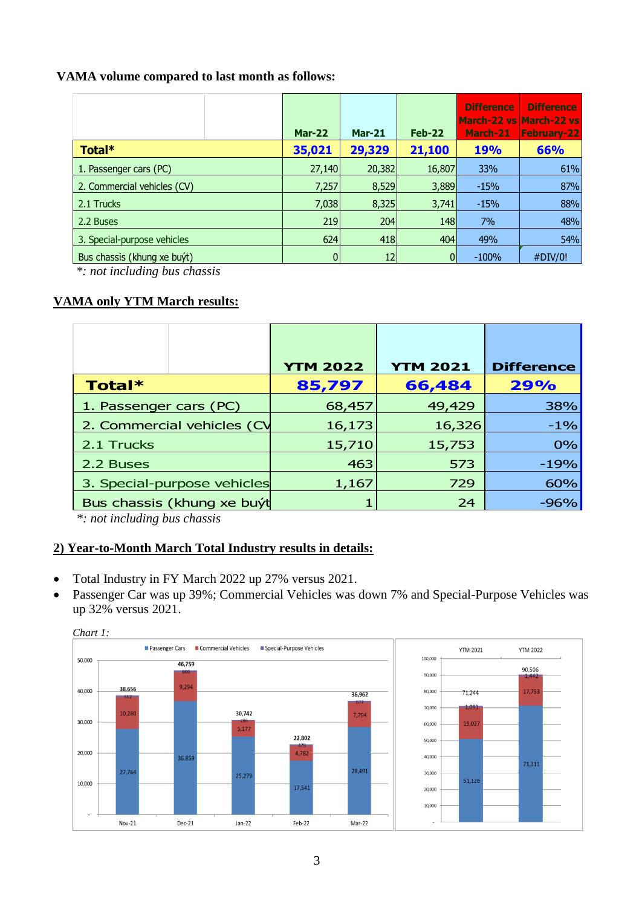### **VAMA volume compared to last month as follows:**

|                             | <b>Mar-22</b> | <b>Mar-21</b> | Feb-22 | <b>Difference</b><br>March-21 | <b>Difference</b><br>March-22 vs March-22 vs<br><b>February-22</b> |
|-----------------------------|---------------|---------------|--------|-------------------------------|--------------------------------------------------------------------|
| Total*                      | 35,021        | 29,329        | 21,100 | <b>19%</b>                    | 66%                                                                |
| 1. Passenger cars (PC)      | 27,140        | 20,382        | 16,807 | 33%                           | 61%                                                                |
| 2. Commercial vehicles (CV) | 7,257         | 8,529         | 3,889  | $-15%$                        | 87%                                                                |
| 2.1 Trucks                  | 7,038         | 8,325         | 3,741  | $-15%$                        | 88%                                                                |
| 2.2 Buses                   | 219           | 204           | 148    | 7%                            | 48%                                                                |
| 3. Special-purpose vehicles | 624           | 418           | 404    | 49%                           | 54%                                                                |
| Bus chassis (khung xe buyt) | $\mathbf{0}$  | 12            |        | $-100%$                       | #DIV/0!                                                            |

*\*: not including bus chassis*

## **VAMA only YTM March results:**

|                             | <b>YTM 2022</b> | <b>YTM 2021</b> | <b>Difference</b> |  |
|-----------------------------|-----------------|-----------------|-------------------|--|
| Total*                      | 85,797          | 66,484          | 29%               |  |
| 1. Passenger cars (PC)      | 68,457          | 49,429          | 38%               |  |
| 2. Commercial vehicles (CV  | 16,173          | 16,326          | $-1%$             |  |
| 2.1 Trucks                  | 15,710          | 15,753          | 0%                |  |
| 2.2 Buses                   | 463             | 573             | $-19%$            |  |
| 3. Special-purpose vehicles | 1,167           | 729             | 60%               |  |
| Bus chassis (khung xe buýt  |                 | 24              | $-96%$            |  |

*\*: not including bus chassis*

#### **2) Year-to-Month March Total Industry results in details:**

- Total Industry in FY March 2022 up 27% versus 2021.
- Passenger Car was up 39%; Commercial Vehicles was down 7% and Special-Purpose Vehicles was up 32% versus 2021.